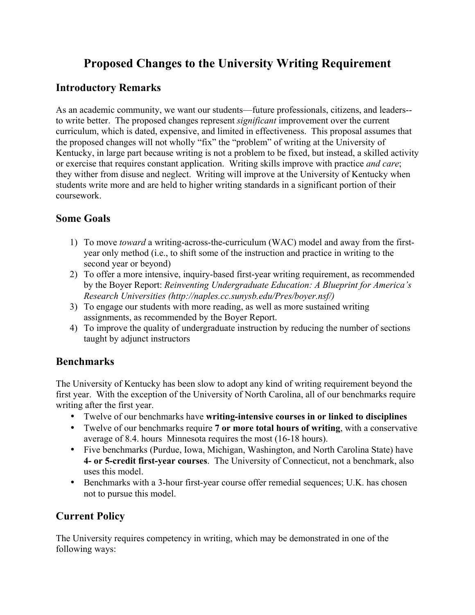# **Proposed Changes to the University Writing Requirement**

#### **Introductory Remarks**

As an academic community, we want our students—future professionals, citizens, and leaders- to write better. The proposed changes represent *significant* improvement over the current curriculum, which is dated, expensive, and limited in effectiveness. This proposal assumes that the proposed changes will not wholly "fix" the "problem" of writing at the University of Kentucky, in large part because writing is not a problem to be fixed, but instead, a skilled activity or exercise that requires constant application. Writing skills improve with practice *and care*; they wither from disuse and neglect. Writing will improve at the University of Kentucky when students write more and are held to higher writing standards in a significant portion of their coursework.

### **Some Goals**

- 1) To move *toward* a writing-across-the-curriculum (WAC) model and away from the firstyear only method (i.e., to shift some of the instruction and practice in writing to the second year or beyond)
- 2) To offer a more intensive, inquiry-based first-year writing requirement, as recommended by the Boyer Report: *Reinventing Undergraduate Education: A Blueprint for America's Research Universities (http://naples.cc.sunysb.edu/Pres/boyer.nsf/)*
- 3) To engage our students with more reading, as well as more sustained writing assignments, as recommended by the Boyer Report.
- 4) To improve the quality of undergraduate instruction by reducing the number of sections taught by adjunct instructors

### **Benchmarks**

The University of Kentucky has been slow to adopt any kind of writing requirement beyond the first year. With the exception of the University of North Carolina, all of our benchmarks require writing after the first year.

- Twelve of our benchmarks have **writing-intensive courses in or linked to disciplines**
- Twelve of our benchmarks require **7 or more total hours of writing**, with a conservative average of 8.4. hours Minnesota requires the most (16-18 hours).
- Five benchmarks (Purdue, Iowa, Michigan, Washington, and North Carolina State) have **4- or 5-credit first-year courses**. The University of Connecticut, not a benchmark, also uses this model.
- Benchmarks with a 3-hour first-year course offer remedial sequences; U.K. has chosen not to pursue this model.

# **Current Policy**

The University requires competency in writing, which may be demonstrated in one of the following ways: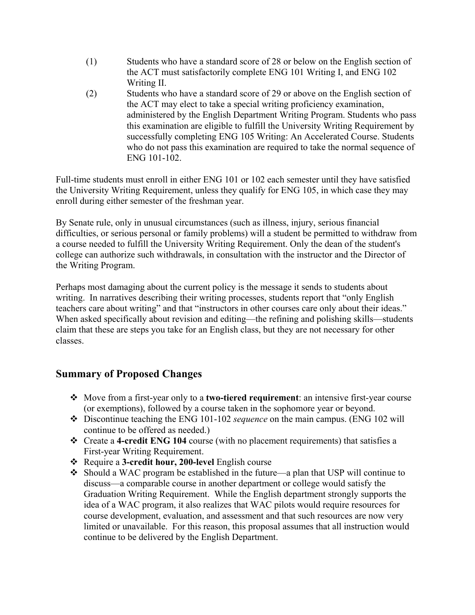- (1) Students who have a standard score of 28 or below on the English section of the ACT must satisfactorily complete ENG 101 Writing I, and ENG 102 Writing II.
- (2) Students who have a standard score of 29 or above on the English section of the ACT may elect to take a special writing proficiency examination, administered by the English Department Writing Program. Students who pass this examination are eligible to fulfill the University Writing Requirement by successfully completing ENG 105 Writing: An Accelerated Course. Students who do not pass this examination are required to take the normal sequence of ENG 101-102.

Full-time students must enroll in either ENG 101 or 102 each semester until they have satisfied the University Writing Requirement, unless they qualify for ENG 105, in which case they may enroll during either semester of the freshman year.

By Senate rule, only in unusual circumstances (such as illness, injury, serious financial difficulties, or serious personal or family problems) will a student be permitted to withdraw from a course needed to fulfill the University Writing Requirement. Only the dean of the student's college can authorize such withdrawals, in consultation with the instructor and the Director of the Writing Program.

Perhaps most damaging about the current policy is the message it sends to students about writing. In narratives describing their writing processes, students report that "only English teachers care about writing" and that "instructors in other courses care only about their ideas." When asked specifically about revision and editing—the refining and polishing skills—students claim that these are steps you take for an English class, but they are not necessary for other classes.

### **Summary of Proposed Changes**

- Move from a first-year only to a **two-tiered requirement**: an intensive first-year course (or exemptions), followed by a course taken in the sophomore year or beyond.
- Discontinue teaching the ENG 101-102 *sequence* on the main campus. (ENG 102 will continue to be offered as needed.)
- Create a **4-credit ENG 104** course (with no placement requirements) that satisfies a First-year Writing Requirement.
- Require a **3-credit hour, 200-level** English course
- Should a WAC program be established in the future—a plan that USP will continue to discuss—a comparable course in another department or college would satisfy the Graduation Writing Requirement. While the English department strongly supports the idea of a WAC program, it also realizes that WAC pilots would require resources for course development, evaluation, and assessment and that such resources are now very limited or unavailable. For this reason, this proposal assumes that all instruction would continue to be delivered by the English Department.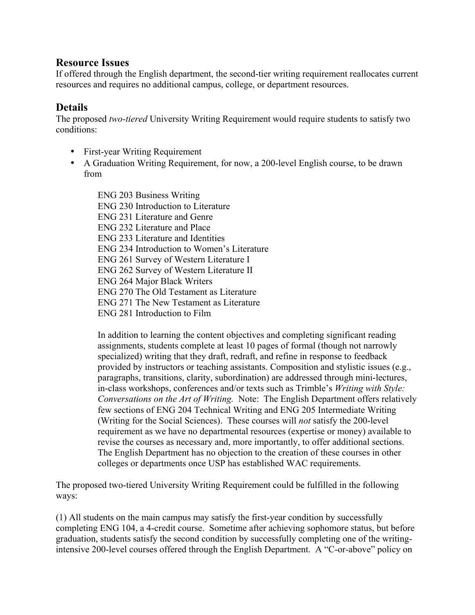#### **Resource Issues**

If offered through the English department, the second-tier writing requirement reallocates current resources and requires no additional campus, college, or department resources.

### **Details**

The proposed *two-tiered* University Writing Requirement would require students to satisfy two conditions:

- First-year Writing Requirement
- A Graduation Writing Requirement, for now, a 200-level English course, to be drawn from

ENG 203 Business Writing ENG 230 Introduction to Literature ENG 231 Literature and Genre ENG 232 Literature and Place ENG 233 Literature and Identities ENG 234 Introduction to Women's Literature ENG 261 Survey of Western Literature I ENG 262 Survey of Western Literature II ENG 264 Major Black Writers ENG 270 The Old Testament as Literature ENG 271 The New Testament as Literature ENG 281 Introduction to Film

In addition to learning the content objectives and completing significant reading assignments, students complete at least 10 pages of formal (though not narrowly specialized) writing that they draft, redraft, and refine in response to feedback provided by instructors or teaching assistants. Composition and stylistic issues (e.g., paragraphs, transitions, clarity, subordination) are addressed through mini-lectures, in-class workshops, conferences and/or texts such as Trimble's *Writing with Style: Conversations on the Art of Writing.* Note: The English Department offers relatively few sections of ENG 204 Technical Writing and ENG 205 Intermediate Writing (Writing for the Social Sciences). These courses will *not* satisfy the 200-level requirement as we have no departmental resources (expertise or money) available to revise the courses as necessary and, more importantly, to offer additional sections. The English Department has no objection to the creation of these courses in other colleges or departments once USP has established WAC requirements.

The proposed two-tiered University Writing Requirement could be fulfilled in the following ways:

(1) All students on the main campus may satisfy the first-year condition by successfully completing ENG 104, a 4-credit course. Sometime after achieving sophomore status, but before graduation, students satisfy the second condition by successfully completing one of the writingintensive 200-level courses offered through the English Department. A "C-or-above" policy on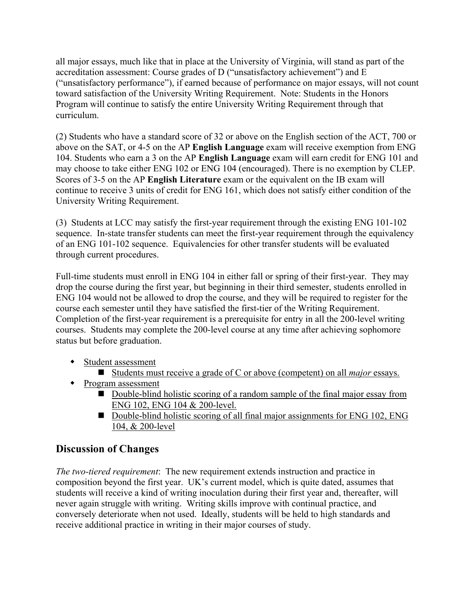all major essays, much like that in place at the University of Virginia, will stand as part of the accreditation assessment: Course grades of D ("unsatisfactory achievement") and E ("unsatisfactory performance"), if earned because of performance on major essays, will not count toward satisfaction of the University Writing Requirement. Note: Students in the Honors Program will continue to satisfy the entire University Writing Requirement through that curriculum.

(2) Students who have a standard score of 32 or above on the English section of the ACT, 700 or above on the SAT, or 4-5 on the AP **English Language** exam will receive exemption from ENG 104. Students who earn a 3 on the AP **English Language** exam will earn credit for ENG 101 and may choose to take either ENG 102 or ENG 104 (encouraged). There is no exemption by CLEP. Scores of 3-5 on the AP **English Literature** exam or the equivalent on the IB exam will continue to receive 3 units of credit for ENG 161, which does not satisfy either condition of the University Writing Requirement.

(3) Students at LCC may satisfy the first-year requirement through the existing ENG 101-102 sequence. In-state transfer students can meet the first-year requirement through the equivalency of an ENG 101-102 sequence. Equivalencies for other transfer students will be evaluated through current procedures.

Full-time students must enroll in ENG 104 in either fall or spring of their first-year. They may drop the course during the first year, but beginning in their third semester, students enrolled in ENG 104 would not be allowed to drop the course, and they will be required to register for the course each semester until they have satisfied the first-tier of the Writing Requirement. Completion of the first-year requirement is a prerequisite for entry in all the 200-level writing courses. Students may complete the 200-level course at any time after achieving sophomore status but before graduation.

- Student assessment
	- Students must receive a grade of C or above (competent) on all *major* essays.
- Program assessment
	- Double-blind holistic scoring of a random sample of the final major essay from ENG 102, ENG 104 & 200-level.
	- Double-blind holistic scoring of all final major assignments for ENG 102, ENG 104, & 200-level

# **Discussion of Changes**

*The two-tiered requirement*: The new requirement extends instruction and practice in composition beyond the first year. UK's current model, which is quite dated, assumes that students will receive a kind of writing inoculation during their first year and, thereafter, will never again struggle with writing. Writing skills improve with continual practice, and conversely deteriorate when not used. Ideally, students will be held to high standards and receive additional practice in writing in their major courses of study.